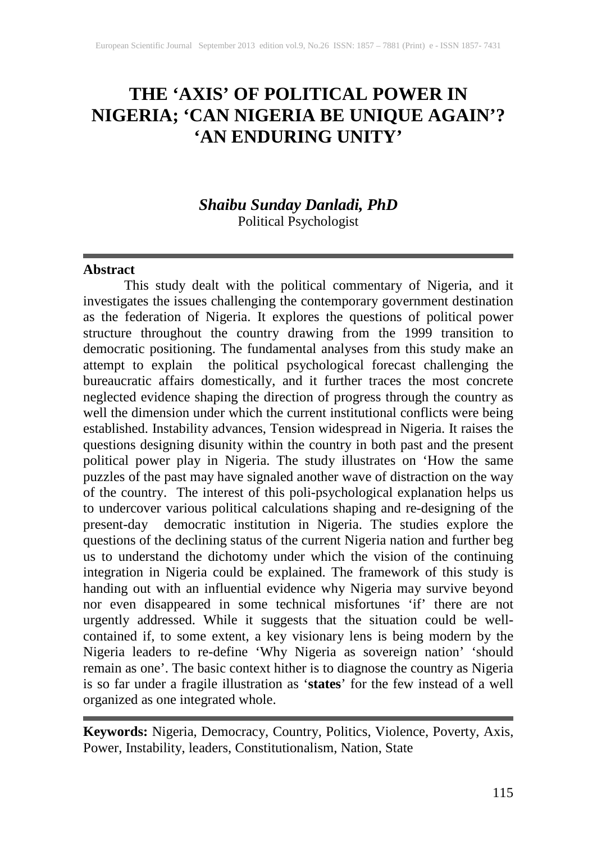## **THE 'AXIS' OF POLITICAL POWER IN NIGERIA; 'CAN NIGERIA BE UNIQUE AGAIN'? 'AN ENDURING UNITY'**

# *Shaibu Sunday Danladi, PhD*

Political Psychologist

#### **Abstract**

This study dealt with the political commentary of Nigeria, and it investigates the issues challenging the contemporary government destination as the federation of Nigeria. It explores the questions of political power structure throughout the country drawing from the 1999 transition to democratic positioning. The fundamental analyses from this study make an attempt to explain the political psychological forecast challenging the bureaucratic affairs domestically, and it further traces the most concrete neglected evidence shaping the direction of progress through the country as well the dimension under which the current institutional conflicts were being established. Instability advances, Tension widespread in Nigeria. It raises the questions designing disunity within the country in both past and the present political power play in Nigeria. The study illustrates on 'How the same puzzles of the past may have signaled another wave of distraction on the way of the country. The interest of this poli-psychological explanation helps us to undercover various political calculations shaping and re-designing of the present-day democratic institution in Nigeria. The studies explore the questions of the declining status of the current Nigeria nation and further beg us to understand the dichotomy under which the vision of the continuing integration in Nigeria could be explained. The framework of this study is handing out with an influential evidence why Nigeria may survive beyond nor even disappeared in some technical misfortunes 'if' there are not urgently addressed. While it suggests that the situation could be wellcontained if, to some extent, a key visionary lens is being modern by the Nigeria leaders to re-define 'Why Nigeria as sovereign nation' 'should remain as one'. The basic context hither is to diagnose the country as Nigeria is so far under a fragile illustration as '**states**' for the few instead of a well organized as one integrated whole.

**Keywords:** Nigeria, Democracy, Country, Politics, Violence, Poverty, Axis, Power, Instability, leaders, Constitutionalism, Nation, State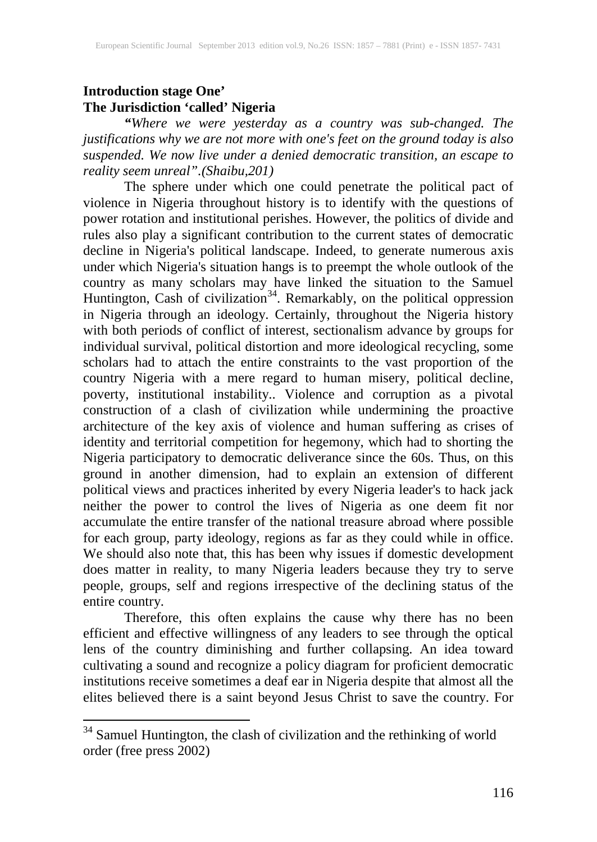#### **Introduction stage One' The Jurisdiction 'called' Nigeria**

*"Where we were yesterday as a country was sub-changed. The justifications why we are not more with one's feet on the ground today is also suspended. We now live under a denied democratic transition, an escape to reality seem unreal".(Shaibu,201)* 

The sphere under which one could penetrate the political pact of violence in Nigeria throughout history is to identify with the questions of power rotation and institutional perishes. However, the politics of divide and rules also play a significant contribution to the current states of democratic decline in Nigeria's political landscape. Indeed, to generate numerous axis under which Nigeria's situation hangs is to preempt the whole outlook of the country as many scholars may have linked the situation to the Samuel Huntington, Cash of civilization<sup>34</sup>. Remarkably, on the political oppression in Nigeria through an ideology. Certainly, throughout the Nigeria history with both periods of conflict of interest, sectionalism advance by groups for individual survival, political distortion and more ideological recycling, some scholars had to attach the entire constraints to the vast proportion of the country Nigeria with a mere regard to human misery, political decline, poverty, institutional instability.. Violence and corruption as a pivotal construction of a clash of civilization while undermining the proactive architecture of the key axis of violence and human suffering as crises of identity and territorial competition for hegemony, which had to shorting the Nigeria participatory to democratic deliverance since the 60s. Thus, on this ground in another dimension, had to explain an extension of different political views and practices inherited by every Nigeria leader's to hack jack neither the power to control the lives of Nigeria as one deem fit nor accumulate the entire transfer of the national treasure abroad where possible for each group, party ideology, regions as far as they could while in office. We should also note that, this has been why issues if domestic development does matter in reality, to many Nigeria leaders because they try to serve people, groups, self and regions irrespective of the declining status of the entire country.

Therefore, this often explains the cause why there has no been efficient and effective willingness of any leaders to see through the optical lens of the country diminishing and further collapsing. An idea toward cultivating a sound and recognize a policy diagram for proficient democratic institutions receive sometimes a deaf ear in Nigeria despite that almost all the elites believed there is a saint beyond Jesus Christ to save the country. For

<span id="page-1-0"></span><sup>&</sup>lt;sup>34</sup> Samuel Huntington, the clash of civilization and the rethinking of world order (free press 2002)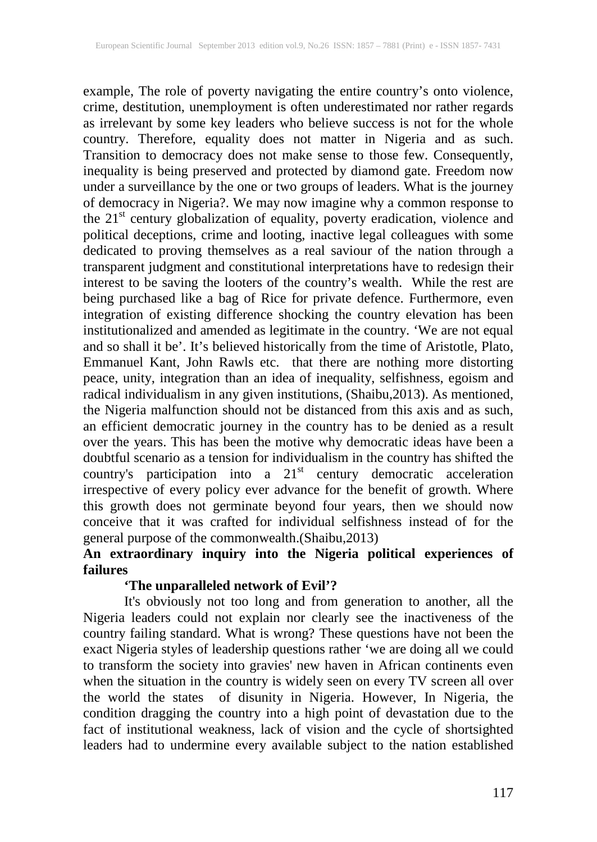example, The role of poverty navigating the entire country's onto violence, crime, destitution, unemployment is often underestimated nor rather regards as irrelevant by some key leaders who believe success is not for the whole country. Therefore, equality does not matter in Nigeria and as such. Transition to democracy does not make sense to those few. Consequently, inequality is being preserved and protected by diamond gate. Freedom now under a surveillance by the one or two groups of leaders. What is the journey of democracy in Nigeria?. We may now imagine why a common response to the 21<sup>st</sup> century globalization of equality, poverty eradication, violence and political deceptions, crime and looting, inactive legal colleagues with some dedicated to proving themselves as a real saviour of the nation through a transparent judgment and constitutional interpretations have to redesign their interest to be saving the looters of the country's wealth. While the rest are being purchased like a bag of Rice for private defence. Furthermore, even integration of existing difference shocking the country elevation has been institutionalized and amended as legitimate in the country. 'We are not equal and so shall it be'. It's believed historically from the time of Aristotle, Plato, Emmanuel Kant, John Rawls etc. that there are nothing more distorting peace, unity, integration than an idea of inequality, selfishness, egoism and radical individualism in any given institutions, (Shaibu,2013). As mentioned, the Nigeria malfunction should not be distanced from this axis and as such, an efficient democratic journey in the country has to be denied as a result over the years. This has been the motive why democratic ideas have been a doubtful scenario as a tension for individualism in the country has shifted the country's participation into a  $21<sup>st</sup>$  century democratic acceleration irrespective of every policy ever advance for the benefit of growth. Where this growth does not germinate beyond four years, then we should now conceive that it was crafted for individual selfishness instead of for the general purpose of the commonwealth.(Shaibu,2013)

#### **An extraordinary inquiry into the Nigeria political experiences of failures**

#### **'The unparalleled network of Evil'?**

It's obviously not too long and from generation to another, all the Nigeria leaders could not explain nor clearly see the inactiveness of the country failing standard. What is wrong? These questions have not been the exact Nigeria styles of leadership questions rather 'we are doing all we could to transform the society into gravies' new haven in African continents even when the situation in the country is widely seen on every TV screen all over the world the states of disunity in Nigeria. However, In Nigeria, the condition dragging the country into a high point of devastation due to the fact of institutional weakness, lack of vision and the cycle of shortsighted leaders had to undermine every available subject to the nation established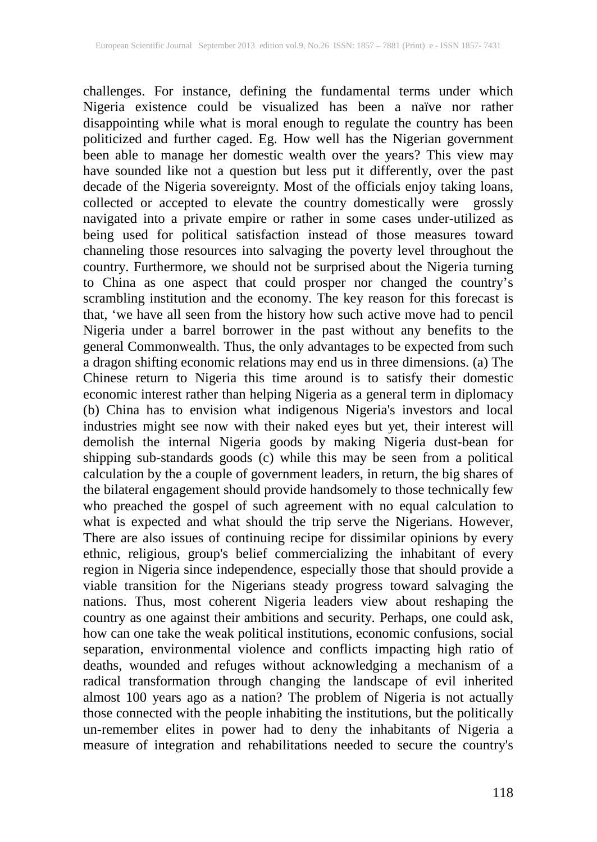challenges. For instance, defining the fundamental terms under which Nigeria existence could be visualized has been a naïve nor rather disappointing while what is moral enough to regulate the country has been politicized and further caged. Eg. How well has the Nigerian government been able to manage her domestic wealth over the years? This view may have sounded like not a question but less put it differently, over the past decade of the Nigeria sovereignty. Most of the officials enjoy taking loans, collected or accepted to elevate the country domestically were grossly navigated into a private empire or rather in some cases under-utilized as being used for political satisfaction instead of those measures toward channeling those resources into salvaging the poverty level throughout the country. Furthermore, we should not be surprised about the Nigeria turning to China as one aspect that could prosper nor changed the country's scrambling institution and the economy. The key reason for this forecast is that, 'we have all seen from the history how such active move had to pencil Nigeria under a barrel borrower in the past without any benefits to the general Commonwealth. Thus, the only advantages to be expected from such a dragon shifting economic relations may end us in three dimensions. (a) The Chinese return to Nigeria this time around is to satisfy their domestic economic interest rather than helping Nigeria as a general term in diplomacy (b) China has to envision what indigenous Nigeria's investors and local industries might see now with their naked eyes but yet, their interest will demolish the internal Nigeria goods by making Nigeria dust-bean for shipping sub-standards goods (c) while this may be seen from a political calculation by the a couple of government leaders, in return, the big shares of the bilateral engagement should provide handsomely to those technically few who preached the gospel of such agreement with no equal calculation to what is expected and what should the trip serve the Nigerians. However, There are also issues of continuing recipe for dissimilar opinions by every ethnic, religious, group's belief commercializing the inhabitant of every region in Nigeria since independence, especially those that should provide a viable transition for the Nigerians steady progress toward salvaging the nations. Thus, most coherent Nigeria leaders view about reshaping the country as one against their ambitions and security. Perhaps, one could ask, how can one take the weak political institutions, economic confusions, social separation, environmental violence and conflicts impacting high ratio of deaths, wounded and refuges without acknowledging a mechanism of a radical transformation through changing the landscape of evil inherited almost 100 years ago as a nation? The problem of Nigeria is not actually those connected with the people inhabiting the institutions, but the politically un-remember elites in power had to deny the inhabitants of Nigeria a measure of integration and rehabilitations needed to secure the country's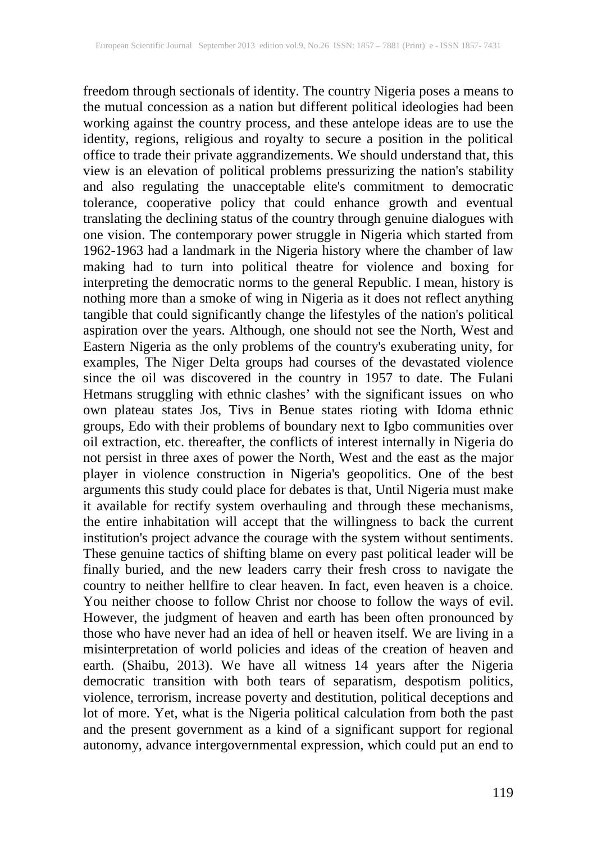freedom through sectionals of identity. The country Nigeria poses a means to the mutual concession as a nation but different political ideologies had been working against the country process, and these antelope ideas are to use the identity, regions, religious and royalty to secure a position in the political office to trade their private aggrandizements. We should understand that, this view is an elevation of political problems pressurizing the nation's stability and also regulating the unacceptable elite's commitment to democratic tolerance, cooperative policy that could enhance growth and eventual translating the declining status of the country through genuine dialogues with one vision. The contemporary power struggle in Nigeria which started from 1962-1963 had a landmark in the Nigeria history where the chamber of law making had to turn into political theatre for violence and boxing for interpreting the democratic norms to the general Republic. I mean, history is nothing more than a smoke of wing in Nigeria as it does not reflect anything tangible that could significantly change the lifestyles of the nation's political aspiration over the years. Although, one should not see the North, West and Eastern Nigeria as the only problems of the country's exuberating unity, for examples, The Niger Delta groups had courses of the devastated violence since the oil was discovered in the country in 1957 to date. The Fulani Hetmans struggling with ethnic clashes' with the significant issues on who own plateau states Jos, Tivs in Benue states rioting with Idoma ethnic groups, Edo with their problems of boundary next to Igbo communities over oil extraction, etc. thereafter, the conflicts of interest internally in Nigeria do not persist in three axes of power the North, West and the east as the major player in violence construction in Nigeria's geopolitics. One of the best arguments this study could place for debates is that, Until Nigeria must make it available for rectify system overhauling and through these mechanisms, the entire inhabitation will accept that the willingness to back the current institution's project advance the courage with the system without sentiments. These genuine tactics of shifting blame on every past political leader will be finally buried, and the new leaders carry their fresh cross to navigate the country to neither hellfire to clear heaven. In fact, even heaven is a choice. You neither choose to follow Christ nor choose to follow the ways of evil. However, the judgment of heaven and earth has been often pronounced by those who have never had an idea of hell or heaven itself. We are living in a misinterpretation of world policies and ideas of the creation of heaven and earth. (Shaibu, 2013). We have all witness 14 years after the Nigeria democratic transition with both tears of separatism, despotism politics, violence, terrorism, increase poverty and destitution, political deceptions and lot of more. Yet, what is the Nigeria political calculation from both the past and the present government as a kind of a significant support for regional autonomy, advance intergovernmental expression, which could put an end to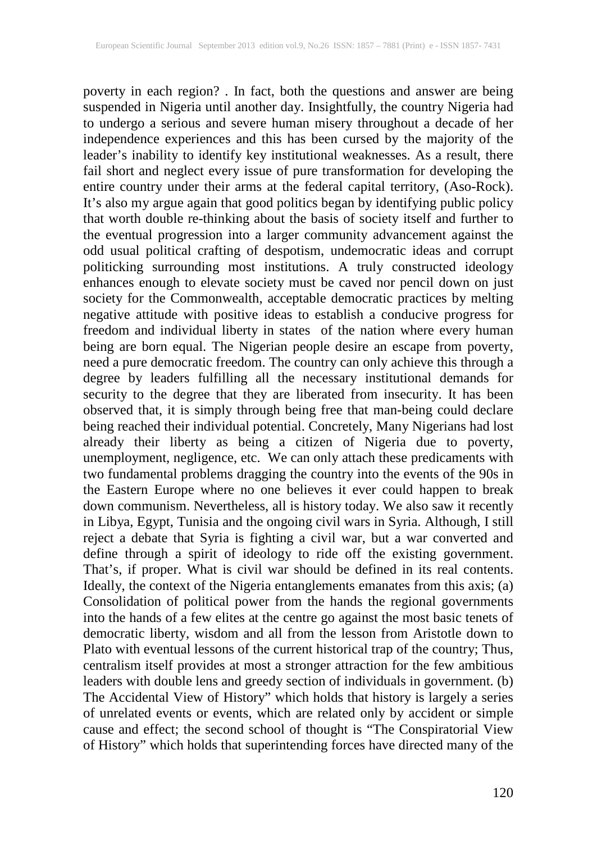poverty in each region? . In fact, both the questions and answer are being suspended in Nigeria until another day. Insightfully, the country Nigeria had to undergo a serious and severe human misery throughout a decade of her independence experiences and this has been cursed by the majority of the leader's inability to identify key institutional weaknesses. As a result, there fail short and neglect every issue of pure transformation for developing the entire country under their arms at the federal capital territory, (Aso-Rock). It's also my argue again that good politics began by identifying public policy that worth double re-thinking about the basis of society itself and further to the eventual progression into a larger community advancement against the odd usual political crafting of despotism, undemocratic ideas and corrupt politicking surrounding most institutions. A truly constructed ideology enhances enough to elevate society must be caved nor pencil down on just society for the Commonwealth, acceptable democratic practices by melting negative attitude with positive ideas to establish a conducive progress for freedom and individual liberty in states of the nation where every human being are born equal. The Nigerian people desire an escape from poverty, need a pure democratic freedom. The country can only achieve this through a degree by leaders fulfilling all the necessary institutional demands for security to the degree that they are liberated from insecurity. It has been observed that, it is simply through being free that man-being could declare being reached their individual potential. Concretely, Many Nigerians had lost already their liberty as being a citizen of Nigeria due to poverty, unemployment, negligence, etc. We can only attach these predicaments with two fundamental problems dragging the country into the events of the 90s in the Eastern Europe where no one believes it ever could happen to break down communism. Nevertheless, all is history today. We also saw it recently in Libya, Egypt, Tunisia and the ongoing civil wars in Syria. Although, I still reject a debate that Syria is fighting a civil war, but a war converted and define through a spirit of ideology to ride off the existing government. That's, if proper. What is civil war should be defined in its real contents. Ideally, the context of the Nigeria entanglements emanates from this axis; (a) Consolidation of political power from the hands the regional governments into the hands of a few elites at the centre go against the most basic tenets of democratic liberty, wisdom and all from the lesson from Aristotle down to Plato with eventual lessons of the current historical trap of the country; Thus, centralism itself provides at most a stronger attraction for the few ambitious leaders with double lens and greedy section of individuals in government. (b) The Accidental View of History" which holds that history is largely a series of unrelated events or events, which are related only by accident or simple cause and effect; the second school of thought is "The Conspiratorial View of History" which holds that superintending forces have directed many of the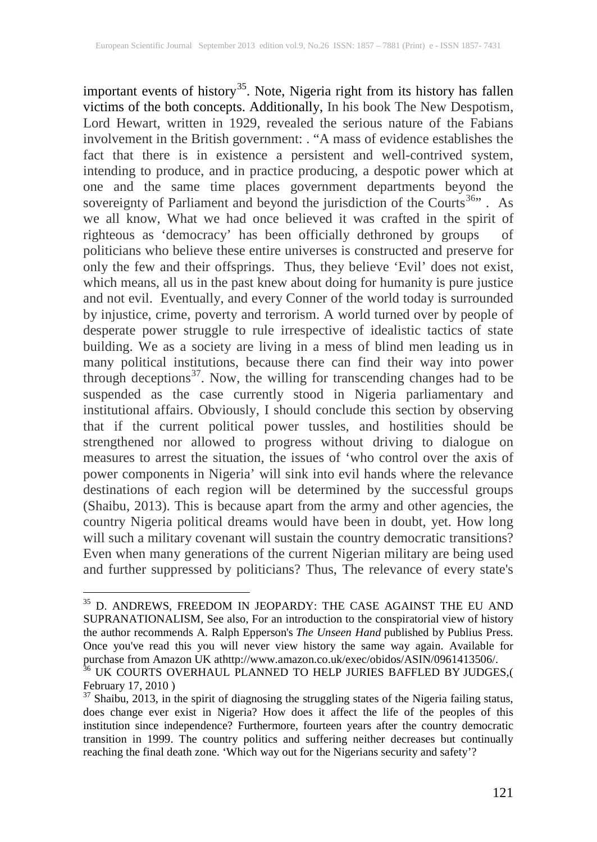important events of history<sup>[35](#page-6-0)</sup>. Note, Nigeria right from its history has fallen victims of the both concepts. Additionally, In his book The New Despotism, Lord Hewart, written in 1929, revealed the serious nature of the Fabians involvement in the British government: . "A mass of evidence establishes the fact that there is in existence a persistent and well-contrived system, intending to produce, and in practice producing, a despotic power which at one and the same time places government departments beyond the sovereignty of Parliament and beyond the jurisdiction of the Courts<sup>[36](#page-6-1)</sup>". As we all know, What we had once believed it was crafted in the spirit of righteous as 'democracy' has been officially dethroned by groups of politicians who believe these entire universes is constructed and preserve for only the few and their offsprings. Thus, they believe 'Evil' does not exist, which means, all us in the past knew about doing for humanity is pure justice and not evil. Eventually, and every Conner of the world today is surrounded by injustice, crime, poverty and terrorism. A world turned over by people of desperate power struggle to rule irrespective of idealistic tactics of state building. We as a society are living in a mess of blind men leading us in many political institutions, because there can find their way into power through deceptions<sup>37</sup>. Now, the willing for transcending changes had to be suspended as the case currently stood in Nigeria parliamentary and institutional affairs. Obviously, I should conclude this section by observing that if the current political power tussles, and hostilities should be strengthened nor allowed to progress without driving to dialogue on measures to arrest the situation, the issues of 'who control over the axis of power components in Nigeria' will sink into evil hands where the relevance destinations of each region will be determined by the successful groups (Shaibu, 2013). This is because apart from the army and other agencies, the country Nigeria political dreams would have been in doubt, yet. How long will such a military covenant will sustain the country democratic transitions? Even when many generations of the current Nigerian military are being used and further suppressed by politicians? Thus, The relevance of every state's

<span id="page-6-0"></span> $^{35}$  D. ANDREWS, FREEDOM IN JEOPARDY: THE CASE AGAINST THE EU AND SUPRANATIONALISM, See also, For an introduction to the conspiratorial view of history the author recommends A. Ralph Epperson's *The Unseen Hand* published by Publius Press. Once you've read this you will never view history the same way again. Available for

<span id="page-6-1"></span>purchase from Amazon UK athttp://www.amazon.co.uk/exec/obidos/ASIN/0961413506/.<br><sup>36</sup> UK COURTS OVERHAUL PLANNED TO HELP JURIES BAFFLED BY JUDGES,(<br>February 17, 2010)

<span id="page-6-2"></span> $\frac{37}{37}$  Shaibu, 2013, in the spirit of diagnosing the struggling states of the Nigeria failing status, does change ever exist in Nigeria? How does it affect the life of the peoples of this institution since independence? Furthermore, fourteen years after the country democratic transition in 1999. The country politics and suffering neither decreases but continually reaching the final death zone. 'Which way out for the Nigerians security and safety'?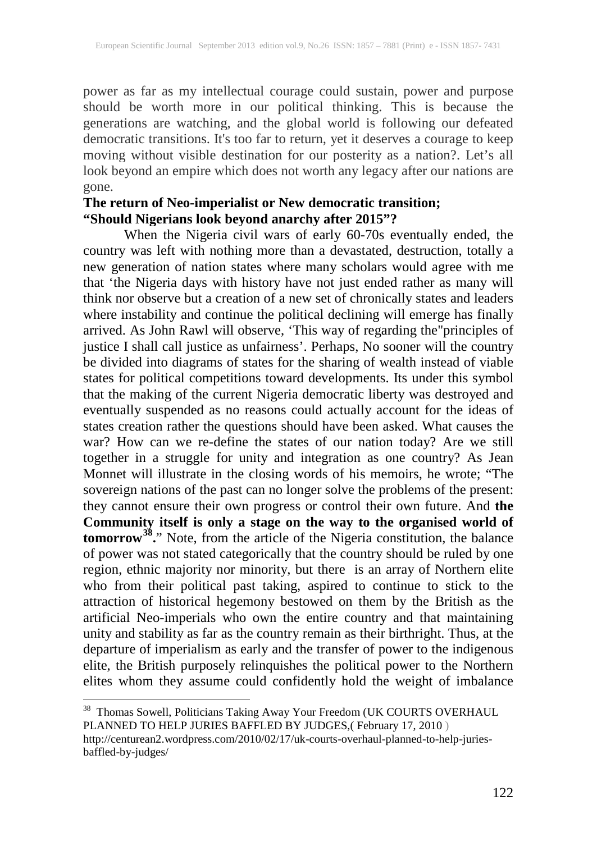power as far as my intellectual courage could sustain, power and purpose should be worth more in our political thinking. This is because the generations are watching, and the global world is following our defeated democratic transitions. It's too far to return, yet it deserves a courage to keep moving without visible destination for our posterity as a nation?. Let's all look beyond an empire which does not worth any legacy after our nations are gone.

#### **The return of Neo-imperialist or New democratic transition; "Should Nigerians look beyond anarchy after 2015"?**

When the Nigeria civil wars of early 60-70s eventually ended, the country was left with nothing more than a devastated, destruction, totally a new generation of nation states where many scholars would agree with me that 'the Nigeria days with history have not just ended rather as many will think nor observe but a creation of a new set of chronically states and leaders where instability and continue the political declining will emerge has finally arrived. As John Rawl will observe, 'This way of regarding the"principles of justice I shall call justice as unfairness'. Perhaps, No sooner will the country be divided into diagrams of states for the sharing of wealth instead of viable states for political competitions toward developments. Its under this symbol that the making of the current Nigeria democratic liberty was destroyed and eventually suspended as no reasons could actually account for the ideas of states creation rather the questions should have been asked. What causes the war? How can we re-define the states of our nation today? Are we still together in a struggle for unity and integration as one country? As Jean Monnet will illustrate in the closing words of his memoirs, he wrote; "The sovereign nations of the past can no longer solve the problems of the present: they cannot ensure their own progress or control their own future. And **the Community itself is only a stage on the way to the organised world of tomorrow[38](#page-7-0).**" Note, from the article of the Nigeria constitution, the balance of power was not stated categorically that the country should be ruled by one region, ethnic majority nor minority, but there is an array of Northern elite who from their political past taking, aspired to continue to stick to the attraction of historical hegemony bestowed on them by the British as the artificial Neo-imperials who own the entire country and that maintaining unity and stability as far as the country remain as their birthright. Thus, at the departure of imperialism as early and the transfer of power to the indigenous elite, the British purposely relinquishes the political power to the Northern elites whom they assume could confidently hold the weight of imbalance

<span id="page-7-0"></span><sup>&</sup>lt;sup>38</sup> Thomas Sowell, Politicians Taking Away Your Freedom (UK COURTS OVERHAUL PLANNED TO HELP JURIES BAFFLED BY JUDGES,( February 17, 2010 ) http://centurean2.wordpress.com/2010/02/17/uk-courts-overhaul-planned-to-help-juriesbaffled-by-judges/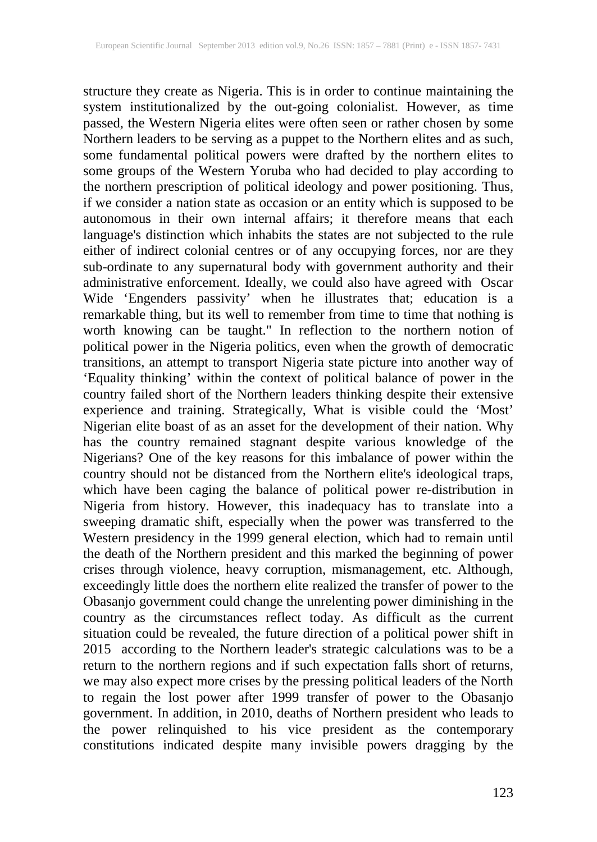structure they create as Nigeria. This is in order to continue maintaining the system institutionalized by the out-going colonialist. However, as time passed, the Western Nigeria elites were often seen or rather chosen by some Northern leaders to be serving as a puppet to the Northern elites and as such, some fundamental political powers were drafted by the northern elites to some groups of the Western Yoruba who had decided to play according to the northern prescription of political ideology and power positioning. Thus, if we consider a nation state as occasion or an entity which is supposed to be autonomous in their own internal affairs; it therefore means that each language's distinction which inhabits the states are not subjected to the rule language's distinction which inhabits the states are not subjected to the rule either of indirect colonial centres or of any occupying forces, nor are they sub-ordinate to any supernatural body with government authority and their administrative enforcement. Ideally, we could also have agreed with Oscar Wide 'Engenders passivity' when he illustrates that; education is a remarkable thing, but its well to remember from time to time that nothing is worth knowing can be taught." In reflection to the northern notion of political power in the Nigeria politics, even when the growth of democratic transitions, an attempt to transport Nigeria state picture into another way of 'Equality thinking' within the context of political balance of power in the country failed short of the Northern leaders thinking despite their extensive experience and training. Strategically, What is visible could the 'Most' Nigerian elite boast of as an asset for the development of their nation. Why has the country remained stagnant despite various knowledge of the Nigerians? One of the key reasons for this imbalance of power within the country should not be distanced from the Northern elite's ideological traps, which have been caging the balance of political power re-distribution in Nigeria from history. However, this inadequacy has to translate into a sweeping dramatic shift, especially when the power was transferred to the Western presidency in the 1999 general election, which had to remain until the death of the Northern president and this marked the beginning of power crises through violence, heavy corruption, mismanagement, etc. Although, exceedingly little does the northern elite realized the transfer of power to the Obasanjo government could change the unrelenting power diminishing in the country as the circumstances reflect today. As difficult as the current situation could be revealed, the future direction of a political power shift in 2015 according to the Northern leader's strategic calculations was to be a return to the northern regions and if such expectation falls short of returns, we may also expect more crises by the pressing political leaders of the North to regain the lost power after 1999 transfer of power to the Obasanjo government. In addition, in 2010, deaths of Northern president who leads to the power relinquished to his vice president as the contemporary constitutions indicated despite many invisible powers dragging by the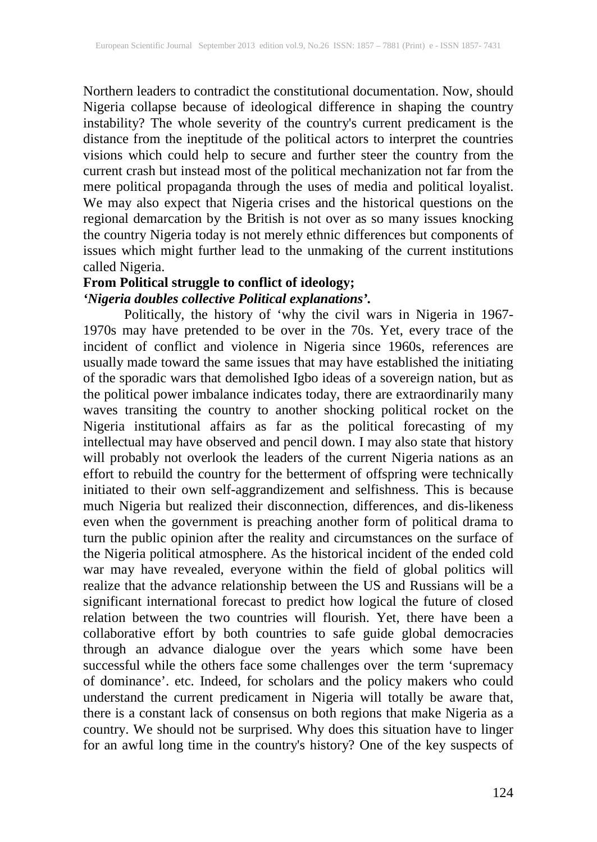Northern leaders to contradict the constitutional documentation. Now, should Nigeria collapse because of ideological difference in shaping the country instability? The whole severity of the country's current predicament is the distance from the ineptitude of the political actors to interpret the countries visions which could help to secure and further steer the country from the current crash but instead most of the political mechanization not far from the mere political propaganda through the uses of media and political loyalist. We may also expect that Nigeria crises and the historical questions on the regional demarcation by the British is not over as so many issues knocking the country Nigeria today is not merely ethnic differences but components of issues which might further lead to the unmaking of the current institutions called Nigeria.

### **From Political struggle to conflict of ideology;** *'Nigeria doubles collective Political explanations'.*

Politically, the history of 'why the civil wars in Nigeria in 1967- 1970s may have pretended to be over in the 70s. Yet, every trace of the incident of conflict and violence in Nigeria since 1960s, references are usually made toward the same issues that may have established the initiating of the sporadic wars that demolished Igbo ideas of a sovereign nation, but as the political power imbalance indicates today, there are extraordinarily many waves transiting the country to another shocking political rocket on the Nigeria institutional affairs as far as the political forecasting of my intellectual may have observed and pencil down. I may also state that history will probably not overlook the leaders of the current Nigeria nations as an effort to rebuild the country for the betterment of offspring were technically initiated to their own self-aggrandizement and selfishness. This is because much Nigeria but realized their disconnection, differences, and dis-likeness even when the government is preaching another form of political drama to turn the public opinion after the reality and circumstances on the surface of the Nigeria political atmosphere. As the historical incident of the ended cold war may have revealed, everyone within the field of global politics will realize that the advance relationship between the US and Russians will be a significant international forecast to predict how logical the future of closed relation between the two countries will flourish. Yet, there have been a collaborative effort by both countries to safe guide global democracies through an advance dialogue over the years which some have been successful while the others face some challenges over the term 'supremacy of dominance'. etc. Indeed, for scholars and the policy makers who could understand the current predicament in Nigeria will totally be aware that, there is a constant lack of consensus on both regions that make Nigeria as a country. We should not be surprised. Why does this situation have to linger for an awful long time in the country's history? One of the key suspects of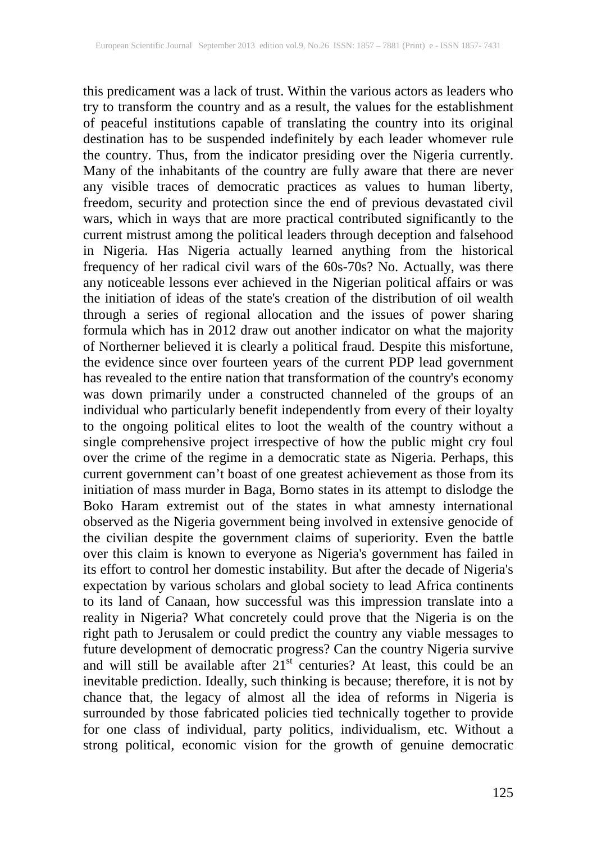this predicament was a lack of trust. Within the various actors as leaders who try to transform the country and as a result, the values for the establishment of peaceful institutions capable of translating the country into its original destination has to be suspended indefinitely by each leader whomever rule the country. Thus, from the indicator presiding over the Nigeria currently. Many of the inhabitants of the country are fully aware that there are never any visible traces of democratic practices as values to human liberty, freedom, security and protection since the end of previous devastated civil wars, which in ways that are more practical contributed significantly to the current mistrust among the political leaders through deception and falsehood in Nigeria. Has Nigeria actually learned anything from the historical frequency of her radical civil wars of the 60s-70s? No. Actually, was there any noticeable lessons ever achieved in the Nigerian political affairs or was the initiation of ideas of the state's creation of the distribution of oil wealth through a series of regional allocation and the issues of power sharing formula which has in 2012 draw out another indicator on what the majority of Northerner believed it is clearly a political fraud. Despite this misfortune, the evidence since over fourteen years of the current PDP lead government has revealed to the entire nation that transformation of the country's economy was down primarily under a constructed channeled of the groups of an individual who particularly benefit independently from every of their loyalty to the ongoing political elites to loot the wealth of the country without a single comprehensive project irrespective of how the public might cry foul over the crime of the regime in a democratic state as Nigeria. Perhaps, this current government can't boast of one greatest achievement as those from its initiation of mass murder in Baga, Borno states in its attempt to dislodge the Boko Haram extremist out of the states in what amnesty international observed as the Nigeria government being involved in extensive genocide of the civilian despite the government claims of superiority. Even the battle over this claim is known to everyone as Nigeria's government has failed in its effort to control her domestic instability. But after the decade of Nigeria's expectation by various scholars and global society to lead Africa continents to its land of Canaan, how successful was this impression translate into a reality in Nigeria? What concretely could prove that the Nigeria is on the right path to Jerusalem or could predict the country any viable messages to future development of democratic progress? Can the country Nigeria survive and will still be available after  $21^{st}$  centuries? At least, this could be an inevitable prediction. Ideally, such thinking is because; therefore, it is not by chance that, the legacy of almost all the idea of reforms in Nigeria is surrounded by those fabricated policies tied technically together to provide for one class of individual, party politics, individualism, etc. Without a strong political, economic vision for the growth of genuine democratic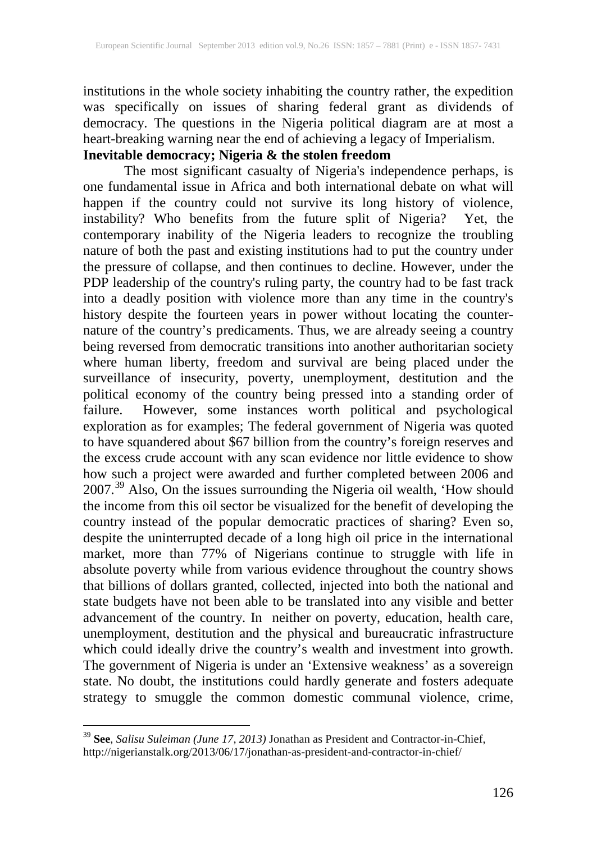institutions in the whole society inhabiting the country rather, the expedition was specifically on issues of sharing federal grant as dividends of democracy. The questions in the Nigeria political diagram are at most a heart-breaking warning near the end of achieving a legacy of Imperialism.

## **Inevitable democracy; Nigeria & the stolen freedom**

The most significant casualty of Nigeria's independence perhaps, is one fundamental issue in Africa and both international debate on what will happen if the country could not survive its long history of violence, instability? Who benefits from the future split of Nigeria? Yet, the contemporary inability of the Nigeria leaders to recognize the troubling nature of both the past and existing institutions had to put the country under the pressure of collapse, and then continues to decline. However, under the PDP leadership of the country's ruling party, the country had to be fast track into a deadly position with violence more than any time in the country's history despite the fourteen years in power without locating the counternature of the country's predicaments. Thus, we are already seeing a country being reversed from democratic transitions into another authoritarian society where human liberty, freedom and survival are being placed under the surveillance of insecurity, poverty, unemployment, destitution and the political economy of the country being pressed into a standing order of failure. However, some instances worth political and psychological exploration as for examples; The federal government of Nigeria was quoted to have squandered about \$67 billion from the country's foreign reserves and the excess crude account with any scan evidence nor little evidence to show how such a project were awarded and further completed between 2006 and  $2007<sup>39</sup>$  $2007<sup>39</sup>$  $2007<sup>39</sup>$  Also, On the issues surrounding the Nigeria oil wealth, 'How should the income from this oil sector be visualized for the benefit of developing the country instead of the popular democratic practices of sharing? Even so, despite the uninterrupted decade of a long high oil price in the international market, more than 77% of Nigerians continue to struggle with life in absolute poverty while from various evidence throughout the country shows that billions of dollars granted, collected, injected into both the national and state budgets have not been able to be translated into any visible and better advancement of the country. In neither on poverty, education, health care, unemployment, destitution and the physical and bureaucratic infrastructure which could ideally drive the country's wealth and investment into growth. The government of Nigeria is under an 'Extensive weakness' as a sovereign state. No doubt, the institutions could hardly generate and fosters adequate strategy to smuggle the common domestic communal violence, crime,

<span id="page-11-0"></span> <sup>39</sup> **See**, *Salisu Suleiman (June 17, 2013)* Jonathan as President and Contractor-in-Chief, http://nigerianstalk.org/2013/06/17/jonathan-as-president-and-contractor-in-chief/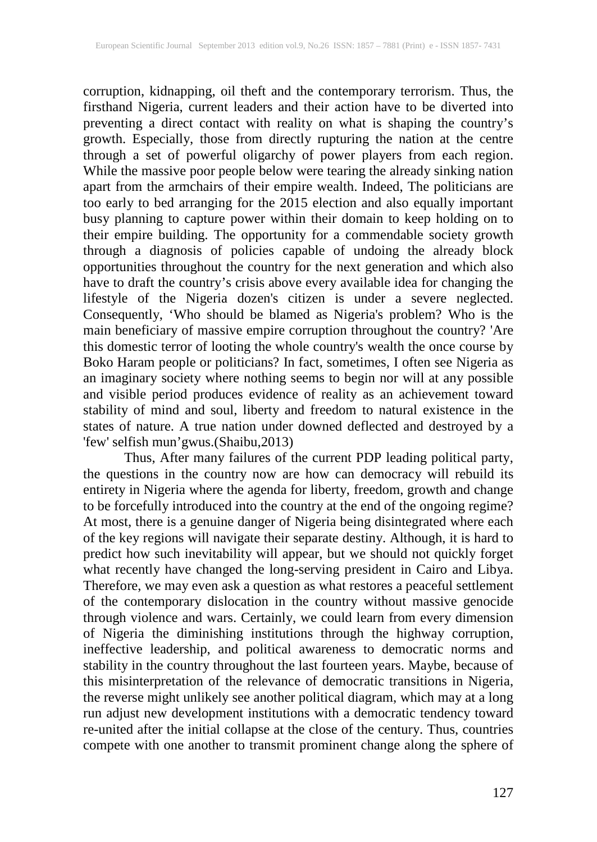corruption, kidnapping, oil theft and the contemporary terrorism. Thus, the firsthand Nigeria, current leaders and their action have to be diverted into preventing a direct contact with reality on what is shaping the country's growth. Especially, those from directly rupturing the nation at the centre through a set of powerful oligarchy of power players from each region. While the massive poor people below were tearing the already sinking nation apart from the armchairs of their empire wealth. Indeed, The politicians are too early to bed arranging for the 2015 election and also equally important busy planning to capture power within their domain to keep holding on to their empire building. The opportunity for a commendable society growth through a diagnosis of policies capable of undoing the already block opportunities throughout the country for the next generation and which also have to draft the country's crisis above every available idea for changing the lifestyle of the Nigeria dozen's citizen is under a severe neglected. Consequently, 'Who should be blamed as Nigeria's problem? Who is the main beneficiary of massive empire corruption throughout the country? 'Are this domestic terror of looting the whole country's wealth the once course by Boko Haram people or politicians? In fact, sometimes, I often see Nigeria as an imaginary society where nothing seems to begin nor will at any possible and visible period produces evidence of reality as an achievement toward stability of mind and soul, liberty and freedom to natural existence in the states of nature. A true nation under downed deflected and destroyed by a 'few' selfish mun'gwus.(Shaibu,2013)

Thus, After many failures of the current PDP leading political party, the questions in the country now are how can democracy will rebuild its entirety in Nigeria where the agenda for liberty, freedom, growth and change to be forcefully introduced into the country at the end of the ongoing regime? At most, there is a genuine danger of Nigeria being disintegrated where each of the key regions will navigate their separate destiny. Although, it is hard to predict how such inevitability will appear, but we should not quickly forget what recently have changed the long-serving president in Cairo and Libya. Therefore, we may even ask a question as what restores a peaceful settlement of the contemporary dislocation in the country without massive genocide through violence and wars. Certainly, we could learn from every dimension of Nigeria the diminishing institutions through the highway corruption, ineffective leadership, and political awareness to democratic norms and stability in the country throughout the last fourteen years. Maybe, because of this misinterpretation of the relevance of democratic transitions in Nigeria, the reverse might unlikely see another political diagram, which may at a long run adjust new development institutions with a democratic tendency toward re-united after the initial collapse at the close of the century. Thus, countries compete with one another to transmit prominent change along the sphere of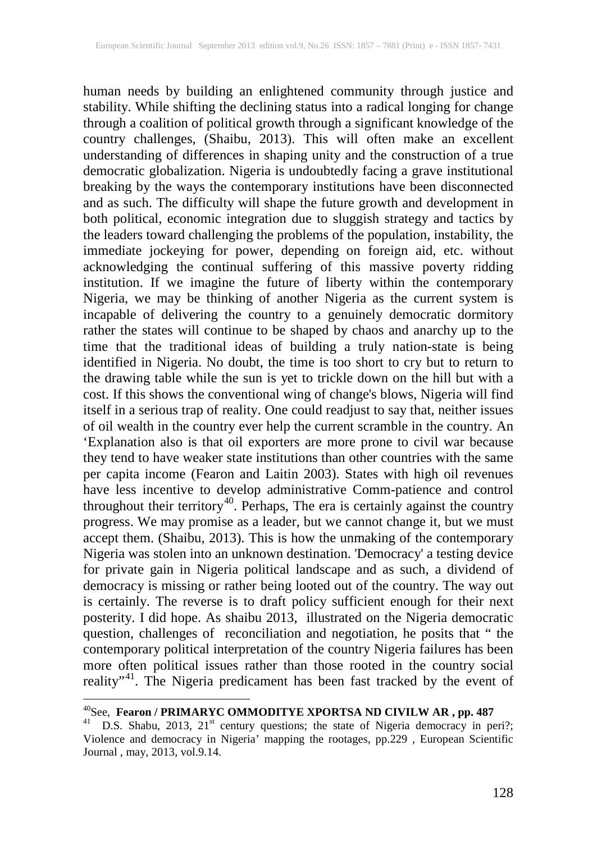human needs by building an enlightened community through justice and stability. While shifting the declining status into a radical longing for change through a coalition of political growth through a significant knowledge of the country challenges, (Shaibu, 2013). This will often make an excellent understanding of differences in shaping unity and the construction of a true democratic globalization. Nigeria is undoubtedly facing a grave institutional breaking by the ways the contemporary institutions have been disconnected and as such. The difficulty will shape the future growth and development in both political, economic integration due to sluggish strategy and tactics by the leaders toward challenging the problems of the population, instability, the immediate jockeying for power, depending on foreign aid, etc. without acknowledging the continual suffering of this massive poverty ridding institution. If we imagine the future of liberty within the contemporary Nigeria, we may be thinking of another Nigeria as the current system is incapable of delivering the country to a genuinely democratic dormitory rather the states will continue to be shaped by chaos and anarchy up to the time that the traditional ideas of building a truly nation-state is being identified in Nigeria. No doubt, the time is too short to cry but to return to the drawing table while the sun is yet to trickle down on the hill but with a cost. If this shows the conventional wing of change's blows, Nigeria will find itself in a serious trap of reality. One could readjust to say that, neither issues of oil wealth in the country ever help the current scramble in the country. An 'Explanation also is that oil exporters are more prone to civil war because they tend to have weaker state institutions than other countries with the same per capita income (Fearon and Laitin 2003). States with high oil revenues have less incentive to develop administrative Comm-patience and control throughout their territory<sup>[40](#page-13-0)</sup>. Perhaps, The era is certainly against the country progress. We may promise as a leader, but we cannot change it, but we must accept them. (Shaibu, 2013). This is how the unmaking of the contemporary Nigeria was stolen into an unknown destination. 'Democracy' a testing device for private gain in Nigeria political landscape and as such, a dividend of democracy is missing or rather being looted out of the country. The way out is certainly. The reverse is to draft policy sufficient enough for their next posterity. I did hope. As shaibu 2013, illustrated on the Nigeria democratic question, challenges of reconciliation and negotiation, he posits that " the contemporary political interpretation of the country Nigeria failures has been more often political issues rather than those rooted in the country social reality"<sup>41</sup>. The Nigeria predicament has been fast tracked by the event of

<span id="page-13-1"></span><span id="page-13-0"></span>

<sup>40&</sup>lt;br><sup>40</sup>See, **Fearon / PRIMARYC OMMODITYE XPORTSA ND CIVILW AR, pp. 487**<br><sup>41</sup> D.S. Shabu, 2013, 21<sup>st</sup> century questions; the state of Nigeria democracy in peri?; Violence and democracy in Nigeria' mapping the rootages, pp.229 , European Scientific Journal , may, 2013, vol.9.14.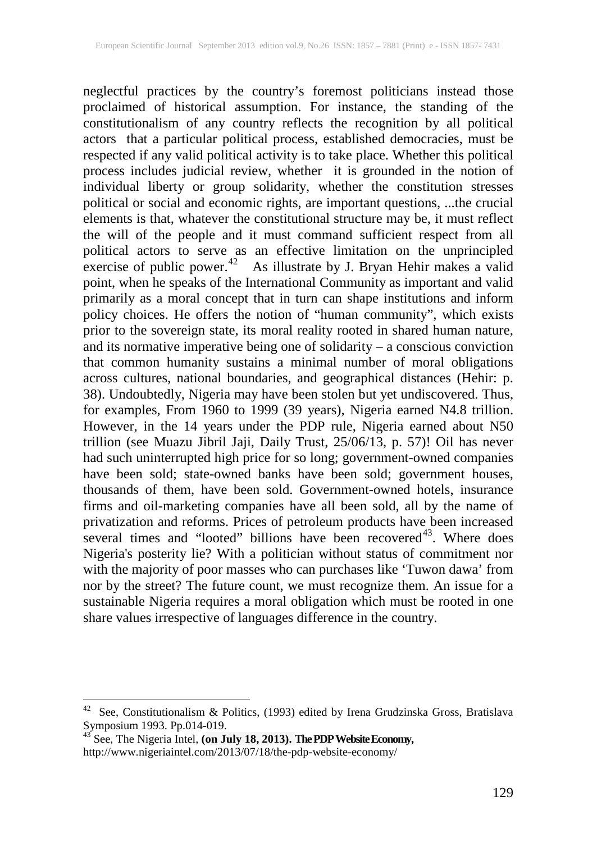neglectful practices by the country's foremost politicians instead those proclaimed of historical assumption. For instance, the standing of the constitutionalism of any country reflects the recognition by all political actors that a particular political process, established democracies, must be respected if any valid political activity is to take place. Whether this political process includes judicial review, whether it is grounded in the notion of individual liberty or group solidarity, whether the constitution stresses political or social and economic rights, are important questions, ...the crucial elements is that, whatever the constitutional structure may be, it must reflect the will of the people and it must command sufficient respect from all political actors to serve as an effective limitation on the unprincipled exercise of public power.<sup>42</sup> As illustrate by J. Bryan Hehir makes a valid point, when he speaks of the International Community as important and valid primarily as a moral concept that in turn can shape institutions and inform policy choices. He offers the notion of "human community", which exists prior to the sovereign state, its moral reality rooted in shared human nature, and its normative imperative being one of solidarity – a conscious conviction that common humanity sustains a minimal number of moral obligations across cultures, national boundaries, and geographical distances (Hehir: p. 38). Undoubtedly, Nigeria may have been stolen but yet undiscovered. Thus, for examples, From 1960 to 1999 (39 years), Nigeria earned N4.8 trillion. However, in the 14 years under the PDP rule, Nigeria earned about N50 trillion (see Muazu Jibril Jaji, Daily Trust, 25/06/13, p. 57)! Oil has never had such uninterrupted high price for so long; government-owned companies have been sold; state-owned banks have been sold; government houses, thousands of them, have been sold. Government-owned hotels, insurance firms and oil-marketing companies have all been sold, all by the name of privatization and reforms. Prices of petroleum products have been increased several times and "looted" billions have been recovered<sup>43</sup>. Where does Nigeria's posterity lie? With a politician without status of commitment nor with the majority of poor masses who can purchases like 'Tuwon dawa' from nor by the street? The future count, we must recognize them. An issue for a sustainable Nigeria requires a moral obligation which must be rooted in one share values irrespective of languages difference in the country.

<span id="page-14-0"></span><sup>&</sup>lt;sup>42</sup> See, Constitutionalism & Politics, (1993) edited by Irena Grudzinska Gross, Bratislava Symposium 1993. Pp.014-019.<br><sup>43</sup> See, The Nigeria Intel, **(on July 18, 2013). The PDP Website Economy,** 

<span id="page-14-1"></span>http://www.nigeriaintel.com/2013/07/18/the-pdp-website-economy/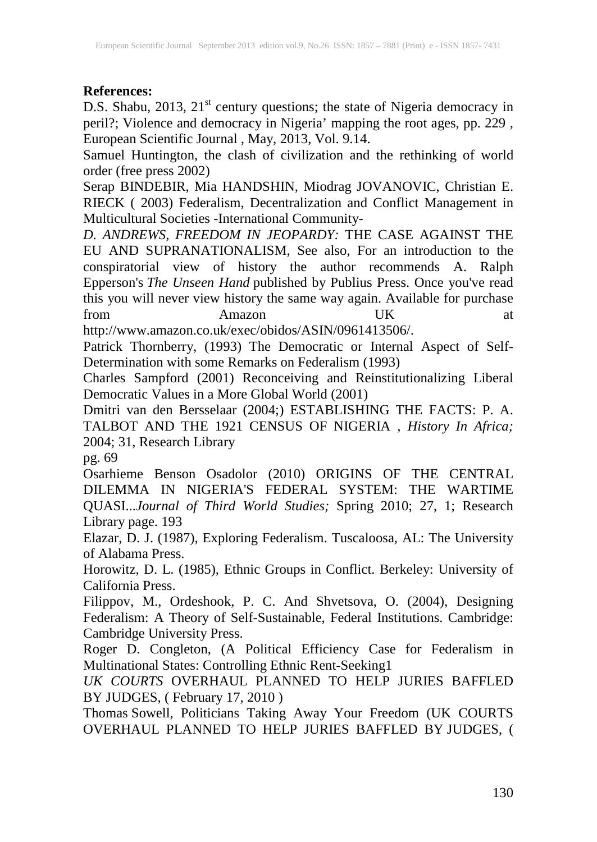#### **References:**

D.S. Shabu, 2013, 21<sup>st</sup> century questions; the state of Nigeria democracy in peril?; Violence and democracy in Nigeria' mapping the root ages, pp. 229 , European Scientific Journal , May, 2013, Vol. 9.14.

Samuel Huntington, the clash of civilization and the rethinking of world order (free press 2002)

Serap BINDEBIR, Mia HANDSHIN, Miodrag JOVANOVIC, Christian E. RIECK ( 2003) Federalism, Decentralization and Conflict Management in Multicultural Societies -International Community-

*D. ANDREWS, FREEDOM IN JEOPARDY:* THE CASE AGAINST THE EU AND SUPRANATIONALISM, See also, For an introduction to the conspiratorial view of history the author recommends A. Ralph Epperson's *The Unseen Hand* published by Publius Press. Once you've read this you will never view history the same way again. Available for purchase from Amazon UK at

http://www.amazon.co.uk/exec/obidos/ASIN/0961413506/.

Patrick Thornberry, (1993) The Democratic or Internal Aspect of Self-Determination with some Remarks on Federalism (1993)

Charles Sampford (2001) Reconceiving and Reinstitutionalizing Liberal Democratic Values in a More Global World (2001)

Dmitri van den Bersselaar (2004;) ESTABLISHING THE FACTS: P. A. TALBOT AND THE 1921 CENSUS OF NIGERIA , *History In Africa;*  2004; 31, Research Library

pg. 69

Osarhieme Benson Osadolor (2010) ORIGINS OF THE CENTRAL DILEMMA IN NIGERIA'S FEDERAL SYSTEM: THE WARTIME QUASI...*Journal of Third World Studies;* Spring 2010; 27, 1; Research Library page. 193

Elazar, D. J. (1987), Exploring Federalism. Tuscaloosa, AL: The University of Alabama Press.

Horowitz, D. L. (1985), Ethnic Groups in Conflict. Berkeley: University of California Press.

Filippov, M., Ordeshook, P. C. And Shvetsova, O. (2004), Designing Federalism: A Theory of Self-Sustainable, Federal Institutions. Cambridge: Cambridge University Press.

Roger D. Congleton, (A Political Efficiency Case for Federalism in Multinational States: Controlling Ethnic Rent-Seeking1

*UK COURTS* OVERHAUL PLANNED TO HELP JURIES BAFFLED BY JUDGES, ( February 17, 2010 )

Thomas Sowell, Politicians Taking Away Your Freedom (UK COURTS OVERHAUL PLANNED TO HELP JURIES BAFFLED BY JUDGES, (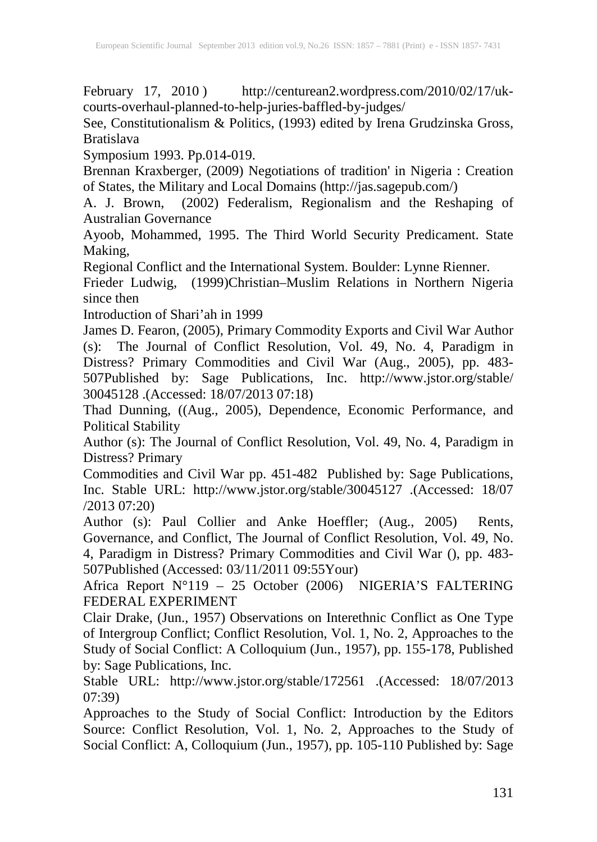February 17, 2010) http://centurean2.wordpress.com/2010/02/17/ukcourts-overhaul-planned-to-help-juries-baffled-by-judges/

See, Constitutionalism & Politics, (1993) edited by Irena Grudzinska Gross, Bratislava

Symposium 1993. Pp.014-019.

Brennan Kraxberger, (2009) Negotiations of tradition' in Nigeria : Creation of States, the Military and Local Domains (http://jas.sagepub.com/)

A. J. Brown, (2002) Federalism, Regionalism and the Reshaping of Australian Governance

Ayoob, Mohammed, 1995. The Third World Security Predicament. State Making,

Regional Conflict and the International System. Boulder: Lynne Rienner.

Frieder Ludwig, (1999)Christian–Muslim Relations in Northern Nigeria since then

Introduction of Shari'ah in 1999

James D. Fearon, (2005), Primary Commodity Exports and Civil War Author (s): The Journal of Conflict Resolution, Vol. 49, No. 4, Paradigm in Distress? Primary Commodities and Civil War (Aug., 2005), pp. 483- 507Published by: Sage Publications, Inc. http://www.jstor.org/stable/ 30045128 .(Accessed: 18/07/2013 07:18)

Thad Dunning, ((Aug., 2005), Dependence, Economic Performance, and Political Stability

Author (s): The Journal of Conflict Resolution, Vol. 49, No. 4, Paradigm in Distress? Primary

Commodities and Civil War pp. 451-482 Published by: Sage Publications, Inc. Stable URL: http://www.jstor.org/stable/30045127 .(Accessed: 18/07 /2013 07:20)

Author (s): Paul Collier and Anke Hoeffler; (Aug., 2005) Rents, Governance, and Conflict, The Journal of Conflict Resolution, Vol. 49, No. 4, Paradigm in Distress? Primary Commodities and Civil War (), pp. 483- 507Published (Accessed: 03/11/2011 09:55Your)

Africa Report N°119 – 25 October (2006) NIGERIA'S FALTERING FEDERAL EXPERIMENT

Clair Drake, (Jun., 1957) Observations on Interethnic Conflict as One Type of Intergroup Conflict; Conflict Resolution, Vol. 1, No. 2, Approaches to the Study of Social Conflict: A Colloquium (Jun., 1957), pp. 155-178, Published by: Sage Publications, Inc.

Stable URL: http://www.jstor.org/stable/172561 .(Accessed: 18/07/2013 07:39)

Approaches to the Study of Social Conflict: Introduction by the Editors Source: Conflict Resolution, Vol. 1, No. 2, Approaches to the Study of Social Conflict: A, Colloquium (Jun., 1957), pp. 105-110 Published by: Sage